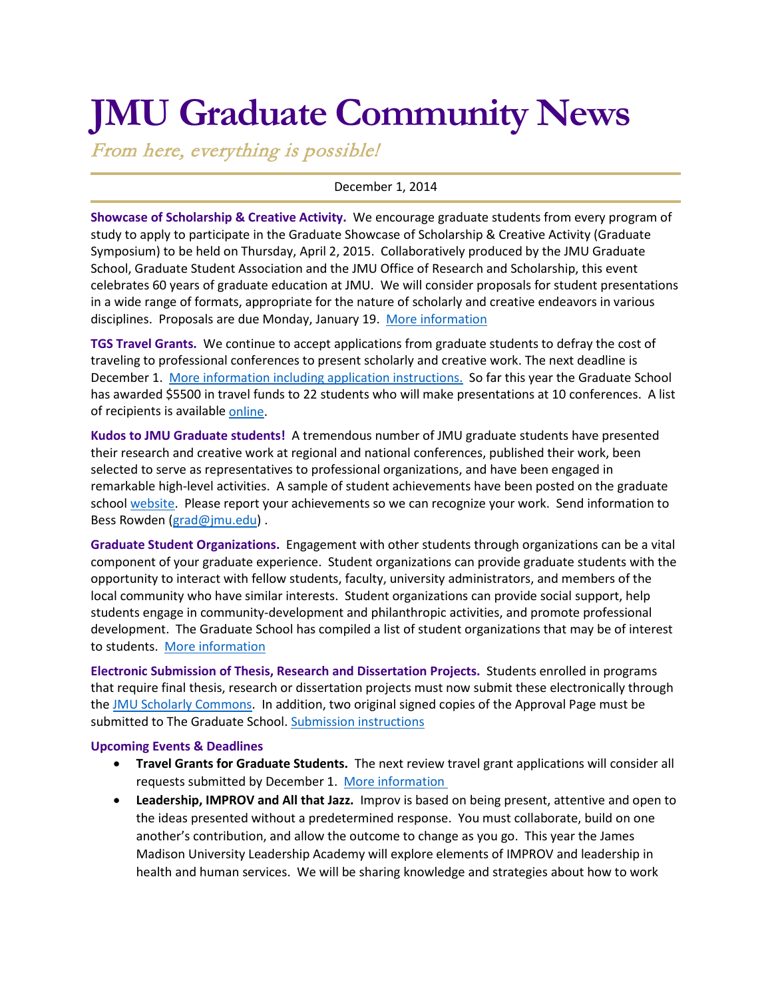# **JMU Graduate Community News**

From here, everything is possible!

## December 1, 2014

**Showcase of Scholarship & Creative Activity.** We encourage graduate students from every program of study to apply to participate in the Graduate Showcase of Scholarship & Creative Activity (Graduate Symposium) to be held on Thursday, April 2, 2015. Collaboratively produced by the JMU Graduate School, Graduate Student Association and the JMU Office of Research and Scholarship, this event celebrates 60 years of graduate education at JMU. We will consider proposals for student presentations in a wide range of formats, appropriate for the nature of scholarly and creative endeavors in various disciplines. Proposals are due Monday, January 19. [More information](http://www.jmu.edu/grad/Showcase%20of%20Graduate%20Scholarship%20and%20Creative%20Activity.shtml)

**TGS Travel Grants.** We continue to accept applications from graduate students to defray the cost of traveling to professional conferences to present scholarly and creative work. The next deadline is December 1. [More information including application instructions.](http://www.jmu.edu/grad/current-students/awards/travel-grants.shtml) So far this year the Graduate School has awarded \$5500 in travel funds to 22 students who will make presentations at 10 conferences. A list of recipients is availabl[e online.](http://www.jmu.edu/grad/current-students/awards/travel-grants-recipients.shtml)

**Kudos to JMU Graduate students!** A tremendous number of JMU graduate students have presented their research and creative work at regional and national conferences, published their work, been selected to serve as representatives to professional organizations, and have been engaged in remarkable high-level activities. A sample of student achievements have been posted on the graduate school [website.](http://www.jmu.edu/grad/about/graduate-student-accomplishments.shtml) Please report your achievements so we can recognize your work. Send information to Bess Rowden [\(grad@jmu.edu\)](mailto:grad@jmu.edu) .

**Graduate Student Organizations.** Engagement with other students through organizations can be a vital component of your graduate experience. Student organizations can provide graduate students with the opportunity to interact with fellow students, faculty, university administrators, and members of the local community who have similar interests. Student organizations can provide social support, help students engage in community-development and philanthropic activities, and promote professional development. The Graduate School has compiled a list of student organizations that may be of interest to students. [More information](http://www.jmu.edu/grad/graduate-student-life/Graduate-Student-Organizations.shtml)

**Electronic Submission of Thesis, Research and Dissertation Projects.** Students enrolled in programs that require final thesis, research or dissertation projects must now submit these electronically through the [JMU Scholarly Commons.](http://commons.lib.jmu.edu/) In addition, two original signed copies of the Approval Page must be submitted to The Graduate School[. Submission instructions](http://www.jmu.edu/grad/current-students/thesis-dissertation/etd.shtml)

#### **Upcoming Events & Deadlines**

- **Travel Grants for Graduate Students.** The next review travel grant applications will consider all requests submitted by December 1. [More information](http://www.jmu.edu/grad/current-students/awards/travel-grants.shtml)
- **Leadership, IMPROV and All that Jazz.** Improv is based on being present, attentive and open to the ideas presented without a predetermined response. You must collaborate, build on one another's contribution, and allow the outcome to change as you go. This year the James Madison University Leadership Academy will explore elements of IMPROV and leadership in health and human services. We will be sharing knowledge and strategies about how to work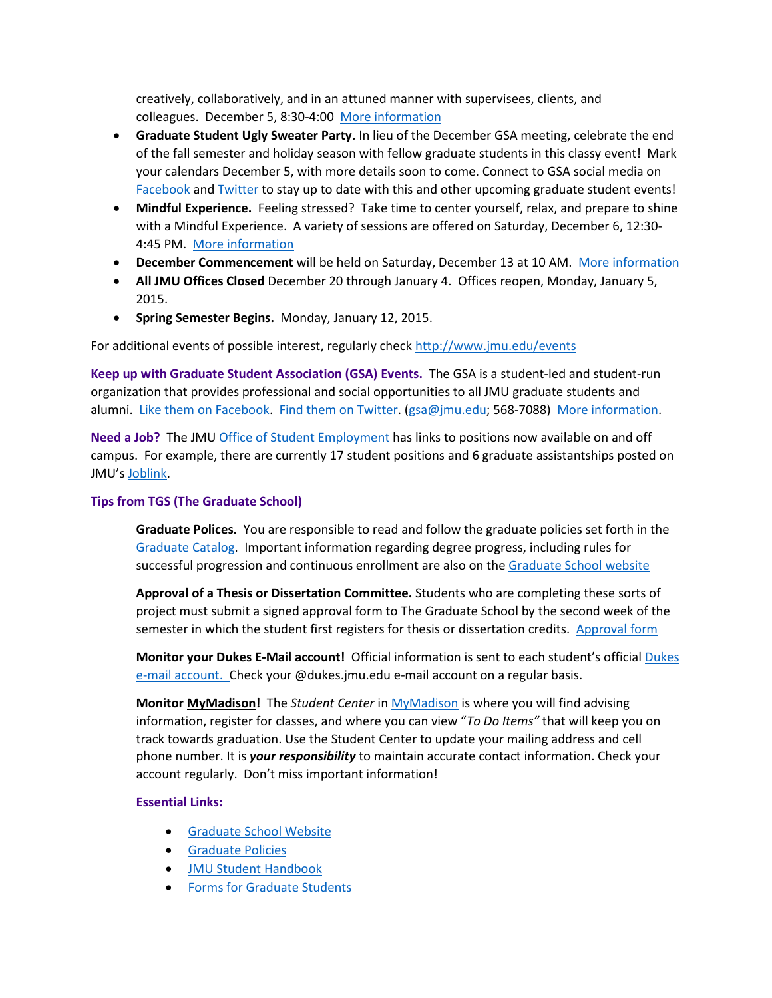creatively, collaboratively, and in an attuned manner with supervisees, clients, and colleagues. December 5, 8:30-4:00 [More information](http://sites.jmu.edu/JMULeadershipAcademy/)

- **Graduate Student Ugly Sweater Party.** In lieu of the December GSA meeting, celebrate the end of the fall semester and holiday season with fellow graduate students in this classy event! Mark your calendars December 5, with more details soon to come. Connect to GSA social media on [Facebook](https://www.facebook.com/JMUGSA) an[d Twitter](https://twitter.com/JMUGSA) to stay up to date with this and other upcoming graduate student events!
- **Mindful Experience.** Feeling stressed? Take time to center yourself, relax, and prepare to shine with a Mindful Experience. A variety of sessions are offered on Saturday, December 6, 12:30- 4:45 PM. [More information](http://www.jmu.edu/events/healthcenter/2014/12/06-mindfulexperience.shtml)
- **December Commencement** will be held on Saturday, December 13 at 10 AM. [More information](http://www.jmu.edu/commencement/December%20Graduates/index.shtml)
- **All JMU Offices Closed** December 20 through January 4. Offices reopen, Monday, January 5, 2015.
- **Spring Semester Begins.** Monday, January 12, 2015.

For additional events of possible interest, regularly check<http://www.jmu.edu/events>

**Keep up with Graduate Student Association (GSA) Events.** The GSA is a student-led and student-run organization that provides professional and social opportunities to all JMU graduate students and alumni. [Like them on Facebook.](https://www.facebook.com/JMUGSA?fref=ts) [Find them on Twitter.](https://twitter.com/JMUGSA) [\(gsa@jmu.edu;](mailto:gsa@jmu.edu) 568-7088) [More information.](http://www.jmu.edu/grad/gsa/index.shtml)

**Need a Job?** The JM[U Office of Student Employment](http://www.jmu.edu/stuemploy/) has links to positions now available on and off campus. For example, there are currently 17 student positions and 6 graduate assistantships posted on JMU'[s Joblink.](http://joblink.jmu.edu/)

### **Tips from TGS (The Graduate School)**

**Graduate Polices.** You are responsible to read and follow the graduate policies set forth in the [Graduate Catalog.](http://jmu.edu/catalog) Important information regarding degree progress, including rules for successful progression and continuous enrollment are also on th[e Graduate School website](http://www.jmu.edu/grad/current-students/degree-progress/beginning.shtml)

**Approval of a Thesis or Dissertation Committee.** Students who are completing these sorts of project must submit a signed approval form to The Graduate School by the second week of the semester in which the student first registers for thesis or dissertation credits. [Approval form](http://www.jmu.edu/grad/_files/CommitteeApprovalForm2014-15.pdf)

**Monitor your Dukes E-Mail account!** Official information is sent to each student's officia[l Dukes](http://www.jmu.edu/computing/helpdesk/selfhelp/DukesEmail.shtml)  [e-mail account.](http://www.jmu.edu/computing/helpdesk/selfhelp/DukesEmail.shtml) Check your @dukes.jmu.edu e-mail account on a regular basis.

**Monitor [MyMadison!](http://mymadison.jmu.edu/)** The *Student Center* in [MyMadison](http://mymadison.jmu.edu/) is where you will find advising information, register for classes, and where you can view "*To Do Items"* that will keep you on track towards graduation. Use the Student Center to update your mailing address and cell phone number. It is *your responsibility* to maintain accurate contact information. Check your account regularly. Don't miss important information!

#### **Essential Links:**

- [Graduate School Website](http://www.jmu.edu/grad)
- [Graduate Policies](http://www.jmu.edu/catalog/index.shtml)
- [JMU Student Handbook](http://www.jmu.edu/osarp/handbook/)
- [Forms for Graduate Students](http://www.jmu.edu/grad/current-students/graduate-forms.shtml)